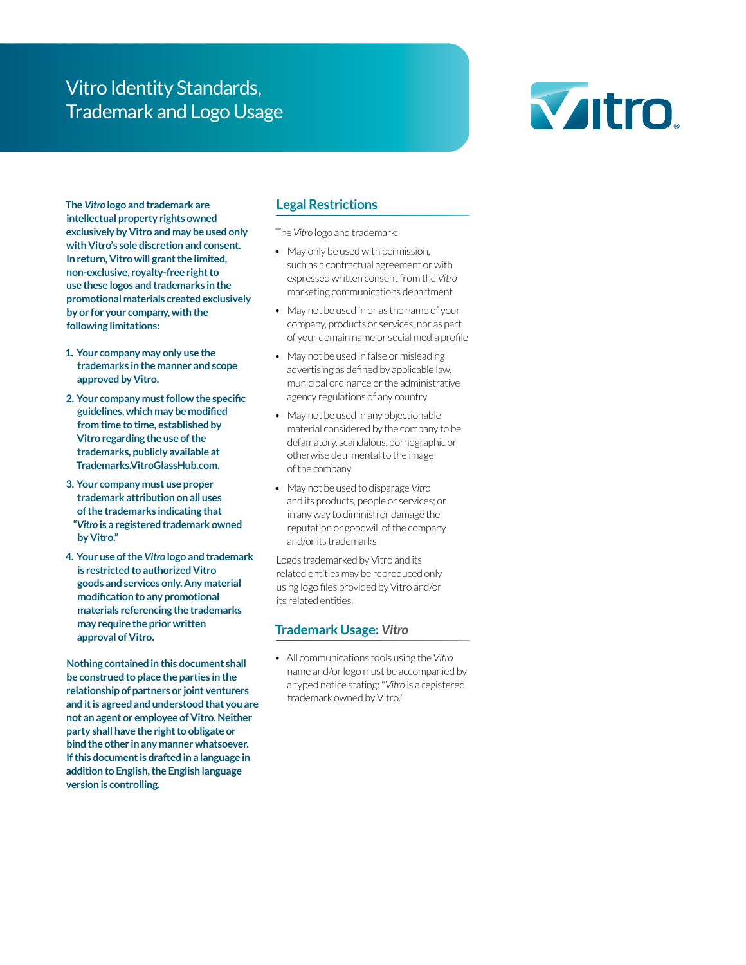# Vitro Identity Standards, Trademark and Logo Usage



**The** *Vitro* **logo and trademark are intellectual property rights owned exclusively by Vitro and may be used only with Vitro's sole discretion and consent. In return, Vitro will grant the limited, non-exclusive, royalty-free right to use these logos and trademarks in the promotional materials created exclusively by or for your company, with the following limitations:**

- **1. Your company may only use the trademarks in the manner and scope approved by Vitro.**
- **2. Your company must follow the specific guidelines, which may be modified from time to time, established by Vitro regarding the use of the trademarks, publicly available at Trademarks.VitroGlassHub.com.**
- **3. Your company must use proper trademark attribution on all uses of the trademarks indicating that "***Vitro* **is a registered trademark owned by Vitro."**
- **4. Your use of the** *Vitro* **logo and trademark is restricted to authorized Vitro goods and services only. Any material modification to any promotional materials referencing the trademarks may require the prior written approval of Vitro.**

**Nothing contained in this document shall be construed to place the parties in the relationship of partners or joint venturers and it is agreed and understood that you are not an agent or employee of Vitro. Neither party shall have the right to obligate or bind the other in any manner whatsoever. If this document is drafted in a language in addition to English, the English language version is controlling.**

## **Legal Restrictions**

The *Vitro* logo and trademark:

- May only be used with permission, such as a contractual agreement or with expressed written consent from the *Vitro*  marketing communications department
- May not be used in or as the name of your company, products or services, nor as part of your domain name or social media profile
- May not be used in false or misleading advertising as defined by applicable law, municipal ordinance or the administrative agency regulations of any country
- May not be used in any objectionable material considered by the company to be defamatory, scandalous, pornographic or otherwise detrimental to the image of the company
- May not be used to disparage *Vitro*  and its products, people or services; or in any way to diminish or damage the reputation or goodwill of the company and/or its trademarks

Logos trademarked by Vitro and its related entities may be reproduced only using logo files provided by Vitro and/or its related entities.

### **Trademark Usage:** *Vitro*

• All communications tools using the *Vitro*  name and/or logo must be accompanied by a typed notice stating: "*Vitro* is a registered trademark owned by Vitro."